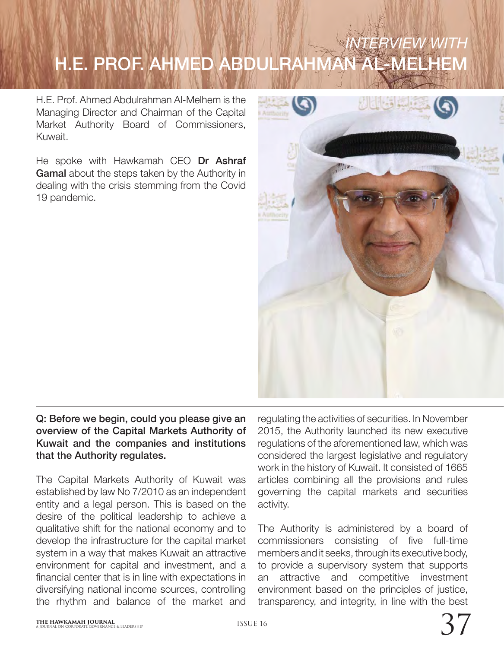# *ERVIEW WITH* H.E. PROF. AHMED ABDULRAHMAN AL-MELHEM

H.E. Prof. Ahmed Abdulrahman Al-Melhem is the Managing Director and Chairman of the Capital Market Authority Board of Commissioners, Kuwait.

He spoke with Hawkamah CEO Dr Ashraf Gamal about the steps taken by the Authority in dealing with the crisis stemming from the Covid 19 pandemic.



# Q: Before we begin, could you please give an overview of the Capital Markets Authority of Kuwait and the companies and institutions that the Authority regulates.

The Capital Markets Authority of Kuwait was established by law No 7/2010 as an independent entity and a legal person. This is based on the desire of the political leadership to achieve a qualitative shift for the national economy and to develop the infrastructure for the capital market system in a way that makes Kuwait an attractive environment for capital and investment, and a financial center that is in line with expectations in diversifying national income sources, controlling the rhythm and balance of the market and

regulating the activities of securities. In November 2015, the Authority launched its new executive regulations of the aforementioned law, which was considered the largest legislative and regulatory work in the history of Kuwait. It consisted of 1665 articles combining all the provisions and rules governing the capital markets and securities activity.

The Authority is administered by a board of commissioners consisting of five full-time members and it seeks, through its executive body, to provide a supervisory system that supports an attractive and competitive investment environment based on the principles of justice, transparency, and integrity, in line with the best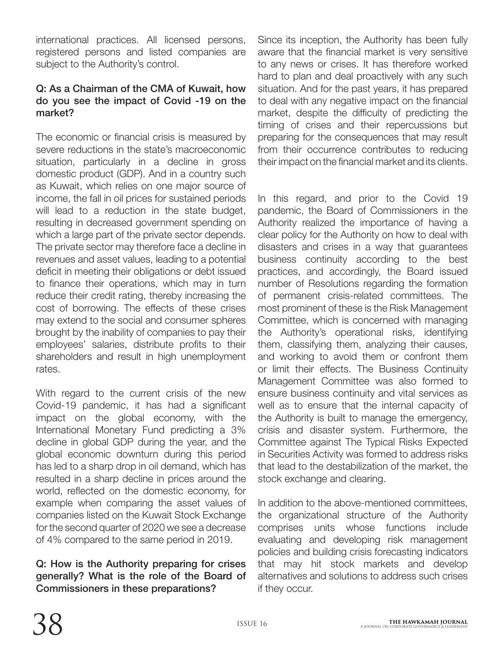international practices. All licensed persons, registered persons and listed companies are subject to the Authority's control.

## Q: As a Chairman of the CMA of Kuwait, how do you see the impact of Covid -19 on the market?

The economic or financial crisis is measured by severe reductions in the state's macroeconomic situation, particularly in a decline in gross domestic product (GDP). And in a country such as Kuwait, which relies on one major source of income, the fall in oil prices for sustained periods will lead to a reduction in the state budget, resulting in decreased government spending on which a large part of the private sector depends. The private sector may therefore face a decline in revenues and asset values, leading to a potential deficit in meeting their obligations or debt issued to finance their operations, which may in turn reduce their credit rating, thereby increasing the cost of borrowing. The effects of these crises may extend to the social and consumer spheres brought by the inability of companies to pay their employees' salaries, distribute profits to their shareholders and result in high unemployment rates.

With regard to the current crisis of the new Covid-19 pandemic, it has had a significant impact on the global economy, with the International Monetary Fund predicting a 3% decline in global GDP during the year, and the global economic downturn during this period has led to a sharp drop in oil demand, which has resulted in a sharp decline in prices around the world, reflected on the domestic economy, for example when comparing the asset values of companies listed on the Kuwait Stock Exchange for the second quarter of 2020 we see a decrease of 4% compared to the same period in 2019.

# Q: How is the Authority preparing for crises generally? What is the role of the Board of Commissioners in these preparations?

Since its inception, the Authority has been fully aware that the financial market is very sensitive to any news or crises. It has therefore worked hard to plan and deal proactively with any such situation. And for the past years, it has prepared to deal with any negative impact on the financial market, despite the difficulty of predicting the timing of crises and their repercussions but preparing for the consequences that may result from their occurrence contributes to reducing their impact on the financial market and its clients.

In this regard, and prior to the Covid 19 pandemic, the Board of Commissioners in the Authority realized the importance of having a clear policy for the Authority on how to deal with disasters and crises in a way that guarantees business continuity according to the best practices, and accordingly, the Board issued number of Resolutions regarding the formation of permanent crisis-related committees. The most prominent of these is the Risk Management Committee, which is concerned with managing the Authority's operational risks, identifying them, classifying them, analyzing their causes, and working to avoid them or confront them or limit their effects. The Business Continuity Management Committee was also formed to ensure business continuity and vital services as well as to ensure that the internal capacity of the Authority is built to manage the emergency, crisis and disaster system. Furthermore, the Committee against The Typical Risks Expected in Securities Activity was formed to address risks that lead to the destabilization of the market, the stock exchange and clearing.

In addition to the above-mentioned committees, the organizational structure of the Authority comprises units whose functions include evaluating and developing risk management policies and building crisis forecasting indicators that may hit stock markets and develop alternatives and solutions to address such crises if they occur.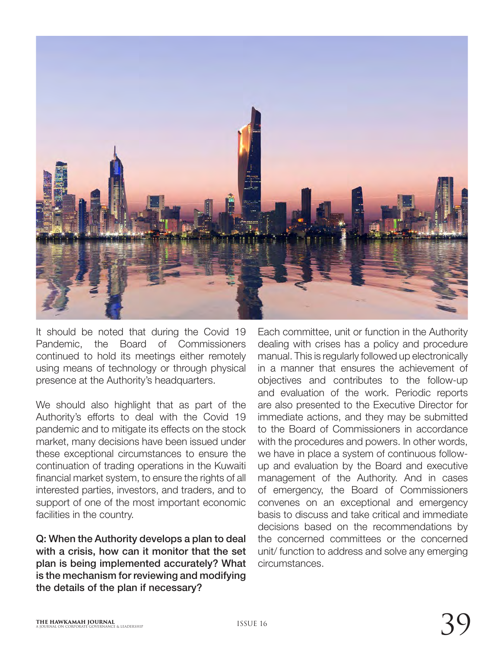

It should be noted that during the Covid 19 Pandemic, the Board of Commissioners continued to hold its meetings either remotely using means of technology or through physical presence at the Authority's headquarters.

We should also highlight that as part of the Authority's efforts to deal with the Covid 19 pandemic and to mitigate its effects on the stock market, many decisions have been issued under these exceptional circumstances to ensure the continuation of trading operations in the Kuwaiti financial market system, to ensure the rights of all interested parties, investors, and traders, and to support of one of the most important economic facilities in the country.

Q: When the Authority develops a plan to deal with a crisis, how can it monitor that the set plan is being implemented accurately? What is the mechanism for reviewing and modifying the details of the plan if necessary?

Each committee, unit or function in the Authority dealing with crises has a policy and procedure manual. This is regularly followed up electronically in a manner that ensures the achievement of objectives and contributes to the follow-up and evaluation of the work. Periodic reports are also presented to the Executive Director for immediate actions, and they may be submitted to the Board of Commissioners in accordance with the procedures and powers. In other words, we have in place a system of continuous followup and evaluation by the Board and executive management of the Authority. And in cases of emergency, the Board of Commissioners convenes on an exceptional and emergency basis to discuss and take critical and immediate decisions based on the recommendations by the concerned committees or the concerned unit/ function to address and solve any emerging circumstances.

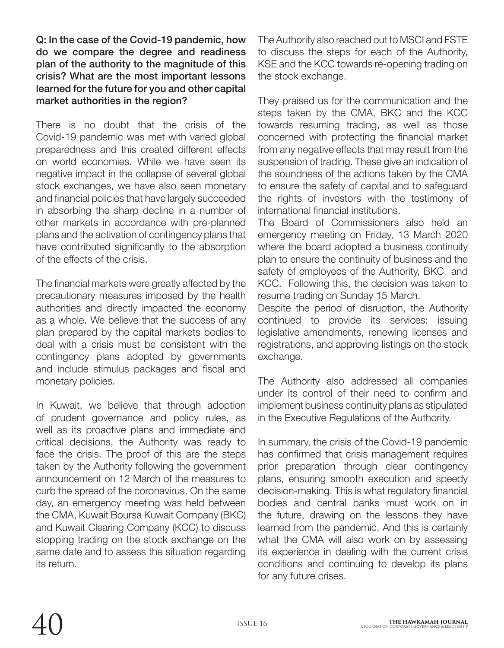Q: In the case of the Covid-19 pandemic, how do we compare the degree and readiness plan of the authority to the magnitude of this crisis? What are the most important lessons learned for the future for you and other capital market authorities in the region?

There is no doubt that the crisis of the Covid-19 pandemic was met with varied global preparedness and this created different effects on world economies. While we have seen its negative impact in the collapse of several global stock exchanges, we have also seen monetary and financial policies that have largely succeeded in absorbing the sharp decline in a number of other markets in accordance with pre-planned plans and the activation of contingency plans that have contributed significantly to the absorption of the effects of the crisis.

The financial markets were greatly affected by the precautionary measures imposed by the health authorities and directly impacted the economy as a whole. We believe that the success of any plan prepared by the capital markets bodies to deal with a crisis must be consistent with the contingency plans adopted by governments and include stimulus packages and fiscal and monetary policies.

In Kuwait, we believe that through adoption of prudent governance and policy rules, as well as its proactive plans and immediate and critical decisions, the Authority was ready to face the crisis. The proof of this are the steps taken by the Authority following the government announcement on 12 March of the measures to curb the spread of the coronavirus. On the same day, an emergency meeting was held between the CMA, Kuwait Boursa Kuwait Company (BKC) and Kuwait Clearing Company (KCC) to discuss stopping trading on the stock exchange on the same date and to assess the situation regarding its return.

The Authority also reached out to MSCI and FSTE to discuss the steps for each of the Authority, KSE and the KCC towards re-opening trading on the stock exchange.

They praised us for the communication and the steps taken by the CMA, BKC and the KCC towards resuming trading, as well as those concerned with protecting the financial market from any negative effects that may result from the suspension of trading. These give an indication of the soundness of the actions taken by the CMA to ensure the safety of capital and to safeguard the rights of investors with the testimony of international financial institutions.

The Board of Commissioners also held an emergency meeting on Friday, 13 March 2020 where the board adopted a business continuity plan to ensure the continuity of business and the safety of employees of the Authority, BKC and KCC. Following this, the decision was taken to resume trading on Sunday 15 March.

Despite the period of disruption, the Authority continued to provide its services: issuing leaislative amendments, renewing licenses and registrations, and approving listings on the stock exchange.

The Authority also addressed all companies under its control of their need to confirm and implement business continuity plans as stipulated in the Executive Regulations of the Authority.

In summary, the crisis of the Covid-19 pandemic has confirmed that crisis management requires prior preparation through clear contingency plans, ensuring smooth execution and speedy decision-making. This is what regulatory financial bodies and central banks must work on in the future, drawing on the lessons they have learned from the pandemic. And this is certainly what the CMA will also work on by assessing its experience in dealing with the current crisis conditions and continuing to develop its plans for any future crises.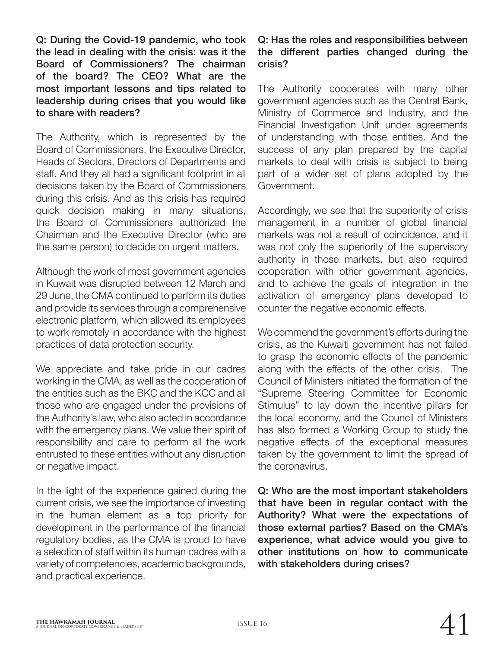Q: During the Covid-19 pandemic, who took the lead in dealing with the crisis: was it the Board of Commissioners? The chairman of the board? The CEO? What are the most important lessons and tips related to leadership during crises that you would like to share with readers?

The Authority, which is represented by the Board of Commissioners, the Executive Director, Heads of Sectors, Directors of Departments and staff. And they all had a significant footprint in all decisions taken by the Board of Commissioners during this crisis. And as this crisis has required quick decision making in many situations, the Board of Commissioners authorized the Chairman and the Executive Director (who are the same person) to decide on urgent matters.

Although the work of most government agencies in Kuwait was disrupted between 12 March and 29 June, the CMA continued to perform its duties and provide its services through a comprehensive electronic platform, which allowed its employees to work remotely in accordance with the highest practices of data protection security.

We appreciate and take pride in our cadres working in the CMA, as well as the cooperation of the entities such as the BKC and the KCC and all those who are engaged under the provisions of the Authority's law, who also acted in accordance with the emergency plans. We value their spirit of responsibility and care to perform all the work entrusted to these entities without any disruption or negative impact.

In the light of the experience gained during the current crisis, we see the importance of investing in the human element as a top priority for development in the performance of the financial regulatory bodies, as the CMA is proud to have a selection of staff within its human cadres with a variety of competencies, academic backgrounds, and practical experience.

#### Q: Has the roles and responsibilities between the different parties changed during the crisis?

The Authority cooperates with many other government agencies such as the Central Bank, Ministry of Commerce and Industry, and the Financial Investigation Unit under agreements of understanding with those entities. And the success of any plan prepared by the capital markets to deal with crisis is subject to being part of a wider set of plans adopted by the Government.

Accordingly, we see that the superiority of crisis management in a number of global financial markets was not a result of coincidence, and it was not only the superiority of the supervisory authority in those markets, but also required cooperation with other government agencies, and to achieve the goals of integration in the activation of emergency plans developed to counter the negative economic effects.

We commend the government's efforts during the crisis, as the Kuwaiti government has not failed to grasp the economic effects of the pandemic along with the effects of the other crisis. The Council of Ministers initiated the formation of the "Supreme Steering Committee for Economic Stimulus" to lay down the incentive pillars for the local economy, and the Council of Ministers has also formed a Working Group to study the negative effects of the exceptional measures taken by the government to limit the spread of the coronavirus.

Q: Who are the most important stakeholders that have been in regular contact with the Authority? What were the expectations of those external parties? Based on the CMA's experience, what advice would you give to other institutions on how to communicate with stakeholders during crises?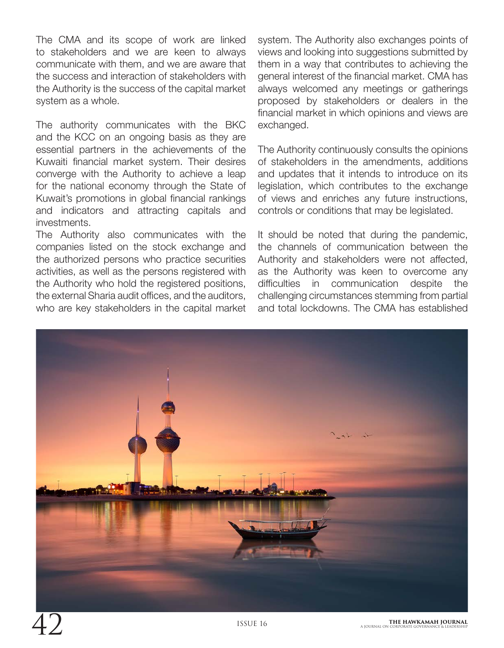The CMA and its scope of work are linked to stakeholders and we are keen to always communicate with them, and we are aware that the success and interaction of stakeholders with the Authority is the success of the capital market system as a whole.

The authority communicates with the BKC and the KCC on an ongoing basis as they are essential partners in the achievements of the Kuwaiti financial market system. Their desires converge with the Authority to achieve a leap for the national economy through the State of Kuwait's promotions in global financial rankings and indicators and attracting capitals and investments.

The Authority also communicates with the companies listed on the stock exchange and the authorized persons who practice securities activities, as well as the persons registered with the Authority who hold the registered positions, the external Sharia audit offices, and the auditors, who are key stakeholders in the capital market

system. The Authority also exchanges points of views and looking into suggestions submitted by them in a way that contributes to achieving the general interest of the financial market. CMA has always welcomed any meetings or gatherings proposed by stakeholders or dealers in the financial market in which opinions and views are exchanged.

The Authority continuously consults the opinions of stakeholders in the amendments, additions and updates that it intends to introduce on its legislation, which contributes to the exchange of views and enriches any future instructions, controls or conditions that may be legislated.

It should be noted that during the pandemic, the channels of communication between the Authority and stakeholders were not affected, as the Authority was keen to overcome any difficulties in communication despite the challenging circumstances stemming from partial and total lockdowns. The CMA has established

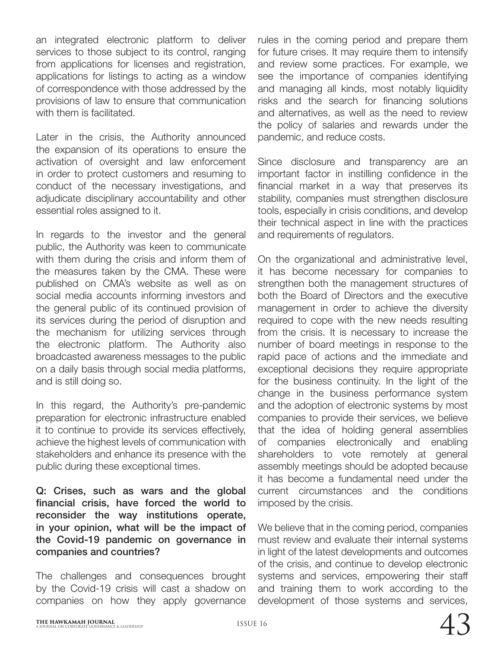an integrated electronic platform to deliver services to those subject to its control, ranging from applications for licenses and registration, applications for listings to acting as a window of correspondence with those addressed by the provisions of law to ensure that communication with them is facilitated.

Later in the crisis, the Authority announced the expansion of its operations to ensure the activation of oversight and law enforcement in order to protect customers and resuming to conduct of the necessary investigations, and adjudicate disciplinary accountability and other essential roles assigned to it.

In regards to the investor and the general public, the Authority was keen to communicate with them during the crisis and inform them of the measures taken by the CMA. These were published on CMA's website as well as on social media accounts informing investors and the general public of its continued provision of its services during the period of disruption and the mechanism for utilizing services through the electronic platform. The Authority also broadcasted awareness messages to the public on a daily basis through social media platforms, and is still doing so.

In this regard, the Authority's pre-pandemic preparation for electronic infrastructure enabled it to continue to provide its services effectively, achieve the highest levels of communication with stakeholders and enhance its presence with the public during these exceptional times.

Q: Crises, such as wars and the global financial crisis, have forced the world to reconsider the way institutions operate, in your opinion, what will be the impact of the Covid-19 pandemic on governance in companies and countries?

The challenges and consequences brought by the Covid-19 crisis will cast a shadow on companies on how they apply governance

rules in the coming period and prepare them for future crises. It may require them to intensify and review some practices. For example, we see the importance of companies identifying and managing all kinds, most notably liquidity risks and the search for financing solutions and alternatives, as well as the need to review the policy of salaries and rewards under the pandemic, and reduce costs.

Since disclosure and transparency are an important factor in instilling confidence in the financial market in a way that preserves its stability, companies must strengthen disclosure tools, especially in crisis conditions, and develop their technical aspect in line with the practices and requirements of regulators.

On the organizational and administrative level, it has become necessary for companies to strengthen both the management structures of both the Board of Directors and the executive management in order to achieve the diversity required to cope with the new needs resulting from the crisis. It is necessary to increase the number of board meetings in response to the rapid pace of actions and the immediate and exceptional decisions they require appropriate for the business continuity. In the light of the change in the business performance system and the adoption of electronic systems by most companies to provide their services, we believe that the idea of holding general assemblies of companies electronically and enabling shareholders to vote remotely at general assembly meetings should be adopted because it has become a fundamental need under the current circumstances and the conditions imposed by the crisis.

We believe that in the coming period, companies must review and evaluate their internal systems in light of the latest developments and outcomes of the crisis, and continue to develop electronic systems and services, empowering their staff and training them to work according to the development of those systems and services,